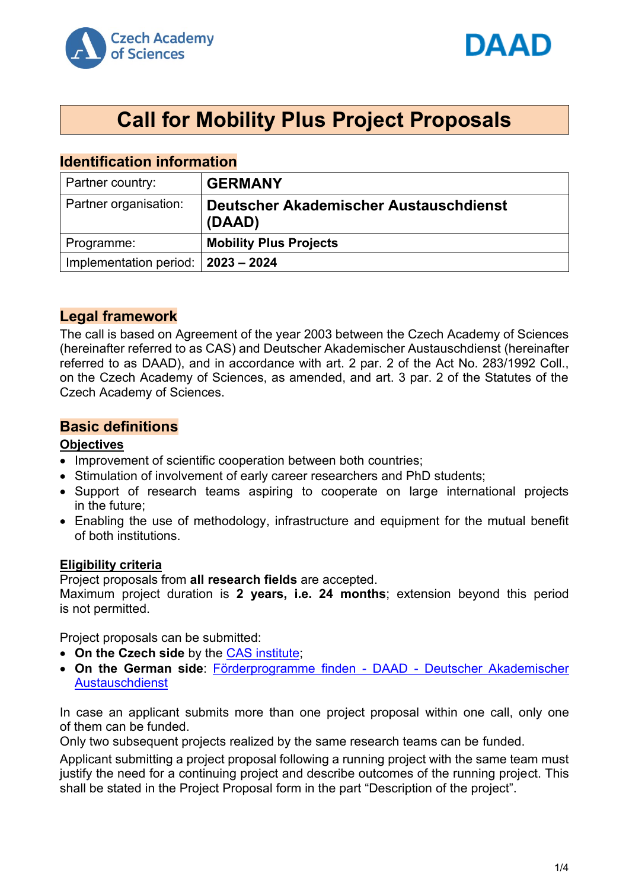



# **Call for Mobility Plus Project Proposals**

# **Identification information**

| Partner country:                     | <b>GERMANY</b>                                   |
|--------------------------------------|--------------------------------------------------|
| Partner organisation:                | Deutscher Akademischer Austauschdienst<br>(DAAD) |
| Programme:                           | <b>Mobility Plus Projects</b>                    |
| Implementation period:   2023 - 2024 |                                                  |

# **Legal framework**

The call is based on Agreement of the year 2003 between the Czech Academy of Sciences (hereinafter referred to as CAS) and Deutscher Akademischer Austauschdienst (hereinafter referred to as DAAD), and in accordance with art. 2 par. 2 of the Act No. 283/1992 Coll., on the Czech Academy of Sciences, as amended, and art. 3 par. 2 of the Statutes of the Czech Academy of Sciences.

# **Basic definitions**

#### **Objectives**

- Improvement of scientific cooperation between both countries;
- Stimulation of involvement of early career researchers and PhD students;
- Support of research teams aspiring to cooperate on large international projects in the future;
- Enabling the use of methodology, infrastructure and equipment for the mutual benefit of both institutions.

#### **Eligibility criteria**

Project proposals from **all research fields** are accepted.

Maximum project duration is **2 years, i.e. 24 months**; extension beyond this period is not permitted.

Project proposals can be submitted:

- **On the Czech side** by the [CAS institute;](http://www.avcr.cz/en/about-us/cas-structure/research-institutes/)
- **On the German side**: Förderprogramme finden DAAD [Deutscher Akademischer](https://www2.daad.de/hochschulen/ausschreibungen/projekte/de/11342-foerderprogramme-finden/?s=1&projektid=57551240)  [Austauschdienst](https://www2.daad.de/hochschulen/ausschreibungen/projekte/de/11342-foerderprogramme-finden/?s=1&projektid=57551240)

In case an applicant submits more than one project proposal within one call, only one of them can be funded.

Only two subsequent projects realized by the same research teams can be funded.

Applicant submitting a project proposal following a running project with the same team must justify the need for a continuing project and describe outcomes of the running project. This shall be stated in the Project Proposal form in the part "Description of the project".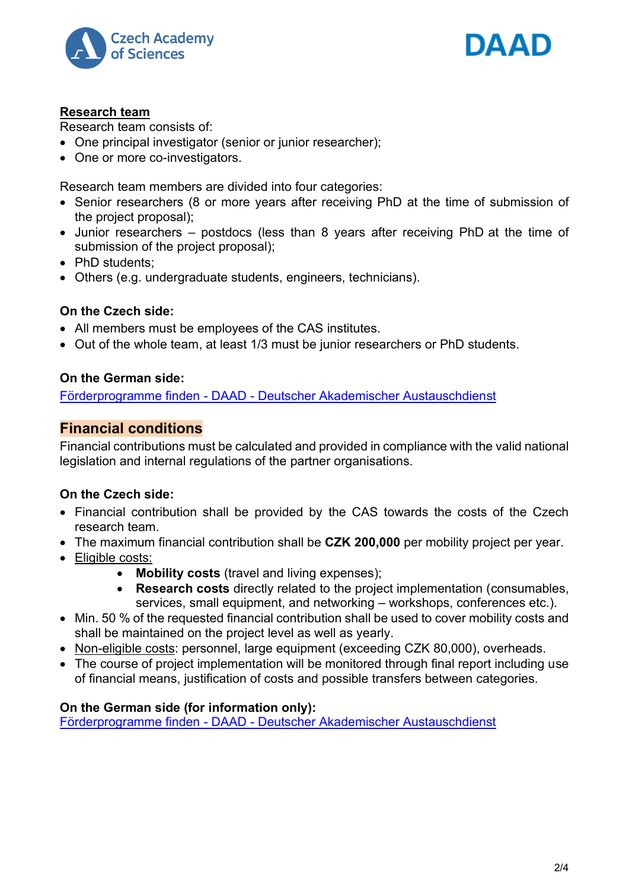



## **Research team**

Research team consists of:

- One principal investigator (senior or junior researcher);
- One or more co-investigators.

Research team members are divided into four categories:

- Senior researchers (8 or more years after receiving PhD at the time of submission of the project proposal);
- Junior researchers postdocs (less than 8 years after receiving PhD at the time of submission of the project proposal);
- PhD students:
- Others (e.g. undergraduate students, engineers, technicians).

## **On the Czech side:**

- All members must be employees of the CAS institutes.
- Out of the whole team, at least 1/3 must be junior researchers or PhD students.

## **On the German side:**

Förderprogramme finden - DAAD - [Deutscher Akademischer Austauschdienst](https://www2.daad.de/hochschulen/ausschreibungen/projekte/de/11342-foerderprogramme-finden/?s=1&projektid=57551240)

# **Financial conditions**

Financial contributions must be calculated and provided in compliance with the valid national legislation and internal regulations of the partner organisations.

## **On the Czech side:**

- Financial contribution shall be provided by the CAS towards the costs of the Czech research team.
- The maximum financial contribution shall be **CZK 200,000** per mobility project per year.
- Eligible costs:
	- **Mobility costs** (travel and living expenses);
	- **Research costs** directly related to the project implementation (consumables, services, small equipment, and networking – workshops, conferences etc.).
- Min. 50 % of the requested financial contribution shall be used to cover mobility costs and shall be maintained on the project level as well as yearly.
- Non-eligible costs: personnel, large equipment (exceeding CZK 80,000), overheads.
- The course of project implementation will be monitored through final report including use of financial means, justification of costs and possible transfers between categories.

#### **On the German side (for information only):**

Förderprogramme finden - DAAD - [Deutscher Akademischer Austauschdienst](https://www2.daad.de/hochschulen/ausschreibungen/projekte/de/11342-foerderprogramme-finden/?s=1&projektid=57551240)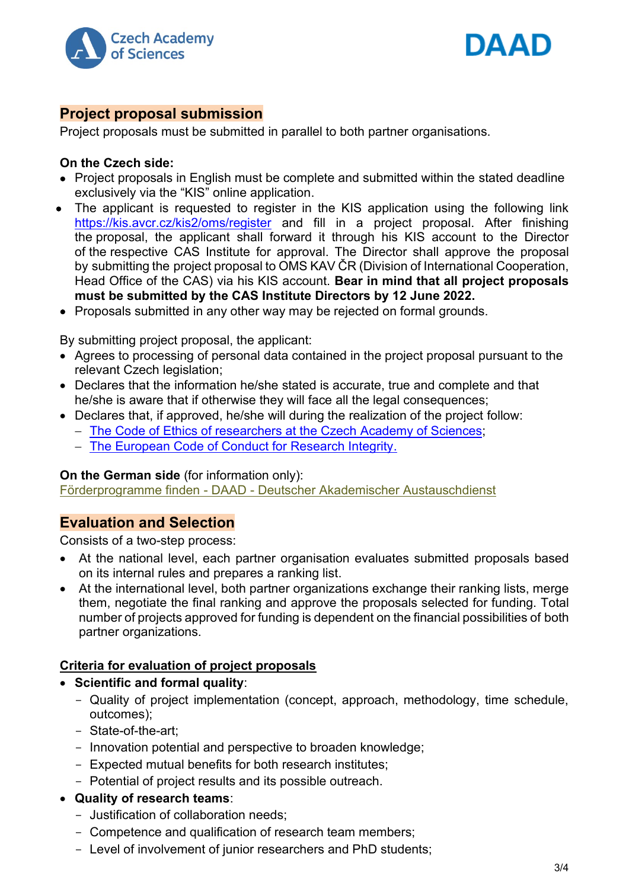



# **Project proposal submission**

Project proposals must be submitted in parallel to both partner organisations.

#### **On the Czech side:**

- Project proposals in English must be complete and submitted within the stated deadline exclusively via the "KIS" online application.
- The applicant is requested to register in the KIS application using the following link <https://kis.avcr.cz/kis2/oms/register> and fill in a project proposal. After finishing the proposal, the applicant shall forward it through his KIS account to the Director of the respective CAS Institute for approval. The Director shall approve the proposal by submitting the project proposal to OMS KAV ČR (Division of International Cooperation, Head Office of the CAS) via his KIS account. **Bear in mind that all project proposals must be submitted by the CAS Institute Directors by 12 June 2022.**
- Proposals submitted in any other way may be rejected on formal grounds.

By submitting project proposal, the applicant:

- Agrees to processing of personal data contained in the project proposal pursuant to the relevant Czech legislation;
- Declares that the information he/she stated is accurate, true and complete and that he/she is aware that if otherwise they will face all the legal consequences;
- Declares that, if approved, he/she will during the realization of the project follow:
	- − [The Code of Ethics of researchers at the Czech Academy of Sciences;](http://www.avcr.cz/cs/o-nas/pravni-predpisy/eticky-kodex-vyzkumnych-pracovniku-v-av-cr/)
	- − [The European Code of Conduct for Research Integrity.](http://www.allea.org/wp-content/uploads/2017/05/ALLEA-European-Code-of-Conduct-for-Research-Integrity-2017.pdf)

#### **On the German side** (for information only):

Förderprogramme finden - DAAD - [Deutscher Akademischer Austauschdienst](https://www2.daad.de/hochschulen/ausschreibungen/projekte/de/11342-foerderprogramme-finden/?s=1&projektid=57551240)

## **Evaluation and Selection**

Consists of a two-step process:

- At the national level, each partner organisation evaluates submitted proposals based on its internal rules and prepares a ranking list.
- At the international level, both partner organizations exchange their ranking lists, merge them, negotiate the final ranking and approve the proposals selected for funding. Total number of projects approved for funding is dependent on the financial possibilities of both partner organizations.

#### **Criteria for evaluation of project proposals**

- **Scientific and formal quality**:
	- Quality of project implementation (concept, approach, methodology, time schedule, outcomes);
	- State-of-the-art;
	- Innovation potential and perspective to broaden knowledge;
	- Expected mutual benefits for both research institutes;
	- Potential of project results and its possible outreach.
- **Quality of research teams**:
	- Justification of collaboration needs;
	- Competence and qualification of research team members;
	- Level of involvement of junior researchers and PhD students;